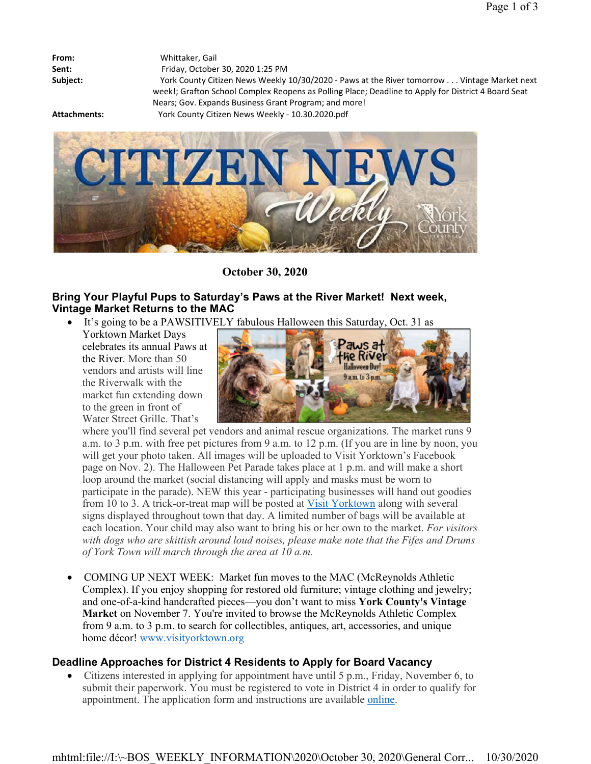| From:    |
|----------|
| Sent:    |
| Subject: |

**From:** Whittaker, Gail **Sent:** Friday, October 30, 2020 1:25 PM **Subject:** York County Citizen News Weekly 10/30/2020 - Paws at the River tomorrow . . . Vintage Market next week!; Grafton School Complex Reopens as Polling Place; Deadline to Apply for District 4 Board Seat Nears; Gov. Expands Business Grant Program; and more! **Attachments:** York County Citizen News Weekly - 10.30.2020.pdf



**October 30, 2020**

### **Bring Your Playful Pups to Saturday's Paws at the River Market! Next week, Vintage Market Returns to the MAC**

- It's going to be a PAWSITIVELY fabulous Halloween this Saturday, Oct. 31 as
	- Yorktown Market Days celebrates its annual Paws at the River. More than 50 vendors and artists will line the Riverwalk with the market fun extending down to the green in front of Water Street Grille. That's



where you'll find several pet vendors and animal rescue organizations. The market runs 9 a.m. to 3 p.m. with free pet pictures from 9 a.m. to 12 p.m. (If you are in line by noon, you will get your photo taken. All images will be uploaded to Visit Yorktown's Facebook page on Nov. 2). The Halloween Pet Parade takes place at 1 p.m. and will make a short loop around the market (social distancing will apply and masks must be worn to participate in the parade). NEW this year - participating businesses will hand out goodies from 10 to 3. A trick-or-treat map will be posted at Visit Yorktown along with several signs displayed throughout town that day. A limited number of bags will be available at each location. Your child may also want to bring his or her own to the market. *For visitors with dogs who are skittish around loud noises, please make note that the Fifes and Drums of York Town will march through the area at 10 a.m.*

 COMING UP NEXT WEEK: Market fun moves to the MAC (McReynolds Athletic Complex). If you enjoy shopping for restored old furniture; vintage clothing and jewelry; and one-of-a-kind handcrafted pieces—you don't want to miss **York County's Vintage Market** on November 7. You're invited to browse the McReynolds Athletic Complex from 9 a.m. to 3 p.m. to search for collectibles, antiques, art, accessories, and unique home décor! www.visityorktown.org

# **Deadline Approaches for District 4 Residents to Apply for Board Vacancy**

 Citizens interested in applying for appointment have until 5 p.m., Friday, November 6, to submit their paperwork. You must be registered to vote in District 4 in order to qualify for appointment. The application form and instructions are available online.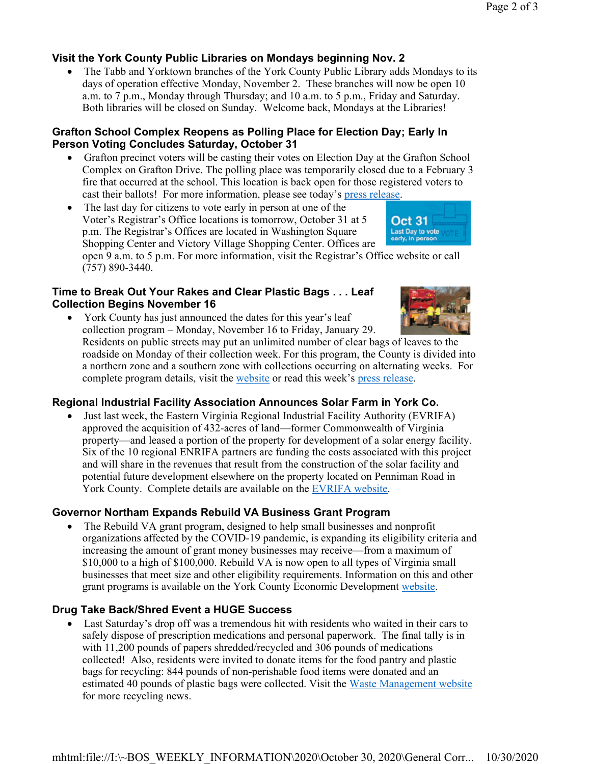# **Visit the York County Public Libraries on Mondays beginning Nov. 2**

• The Tabb and Yorktown branches of the York County Public Library adds Mondays to its days of operation effective Monday, November 2. These branches will now be open 10 a.m. to 7 p.m., Monday through Thursday; and 10 a.m. to 5 p.m., Friday and Saturday. Both libraries will be closed on Sunday. Welcome back, Mondays at the Libraries!

## **Grafton School Complex Reopens as Polling Place for Election Day; Early In Person Voting Concludes Saturday, October 31**

- Grafton precinct voters will be casting their votes on Election Day at the Grafton School Complex on Grafton Drive. The polling place was temporarily closed due to a February 3 fire that occurred at the school. This location is back open for those registered voters to cast their ballots! For more information, please see today's press release.
- The last day for citizens to vote early in person at one of the Voter's Registrar's Office locations is tomorrow, October 31 at 5 p.m. The Registrar's Offices are located in Washington Square Shopping Center and Victory Village Shopping Center. Offices are

open 9 a.m. to 5 p.m. For more information, visit the Registrar's Office website or call (757) 890-3440.

## **Time to Break Out Your Rakes and Clear Plastic Bags . . . Leaf Collection Begins November 16**



**Oct 31** Last Day to vote<br>early, in person

 York County has just announced the dates for this year's leaf collection program – Monday, November 16 to Friday, January 29. Residents on public streets may put an unlimited number of clear bags of leaves to the

roadside on Monday of their collection week. For this program, the County is divided into a northern zone and a southern zone with collections occurring on alternating weeks. For complete program details, visit the website or read this week's press release.

# **Regional Industrial Facility Association Announces Solar Farm in York Co.**

 Just last week, the Eastern Virginia Regional Industrial Facility Authority (EVRIFA) approved the acquisition of 432-acres of land—former Commonwealth of Virginia property—and leased a portion of the property for development of a solar energy facility. Six of the 10 regional ENRIFA partners are funding the costs associated with this project and will share in the revenues that result from the construction of the solar facility and potential future development elsewhere on the property located on Penniman Road in York County. Complete details are available on the EVRIFA website.

# **Governor Northam Expands Rebuild VA Business Grant Program**

 The Rebuild VA grant program, designed to help small businesses and nonprofit organizations affected by the COVID-19 pandemic, is expanding its eligibility criteria and increasing the amount of grant money businesses may receive—from a maximum of \$10,000 to a high of \$100,000. Rebuild VA is now open to all types of Virginia small businesses that meet size and other eligibility requirements. Information on this and other grant programs is available on the York County Economic Development website.

# **Drug Take Back/Shred Event a HUGE Success**

 Last Saturday's drop off was a tremendous hit with residents who waited in their cars to safely dispose of prescription medications and personal paperwork. The final tally is in with 11,200 pounds of papers shredded/recycled and 306 pounds of medications collected! Also, residents were invited to donate items for the food pantry and plastic bags for recycling: 844 pounds of non-perishable food items were donated and an estimated 40 pounds of plastic bags were collected. Visit the Waste Management website for more recycling news.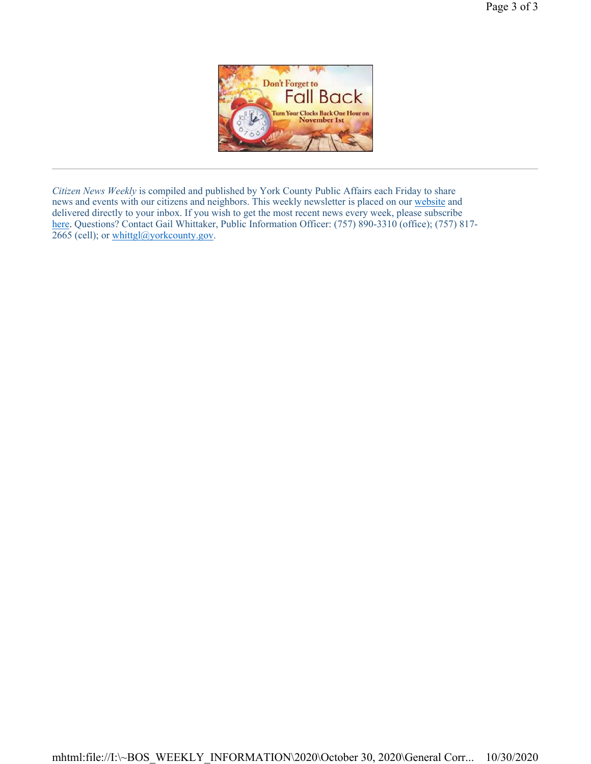

*Citizen News Weekly* is compiled and published by York County Public Affairs each Friday to share news and events with our citizens and neighbors. This weekly newsletter is placed on our website and delivered directly to your inbox. If you wish to get the most recent news every week, please subscribe here. Questions? Contact Gail Whittaker, Public Information Officer: (757) 890-3310 (office); (757) 817-2665 (cell); or whittgl@yorkcounty.gov.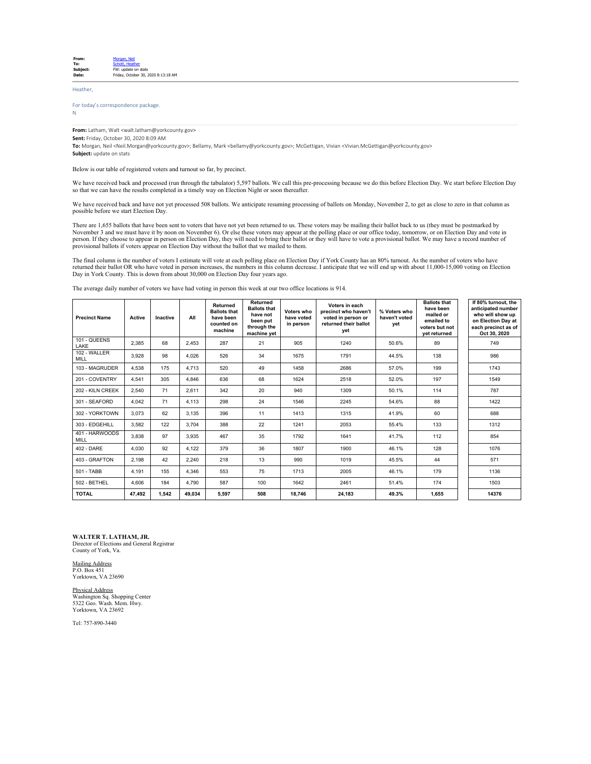| From:    | Morgan, Neil                        |
|----------|-------------------------------------|
| To:      | Schott, Heather                     |
| Subject: | FW: update on stats                 |
| Date:    | Friday, October 30, 2020 8:13:18 AM |
|          |                                     |

Heather,

#### For today's correspondence package. N

**From:** Latham, Walt <walt.latham@yorkcounty.gov> **Sent:** Friday, October 30, 2020 8:09 AM

**To:** Morgan, Neil <Neil.Morgan@yorkcounty.gov>; Bellamy, Mark <bellamy@yorkcounty.gov>; McGettigan, Vivian <Vivian.McGettigan@yorkcounty.gov> **Subject:** update on stats

Below is our table of registered voters and turnout so far, by precinct.

We have received back and processed (run through the tabulator) 5,597 ballots. We call this pre-processing because we do this before Election Day. We start before Election Day so that we can have the results completed in a timely way on Election Night or soon thereafter.

We have received back and have not yet processed 508 ballots. We anticipate resuming processing of ballots on Monday, November 2, to get as close to zero in that column as possible before we start Election Day.

There are 1,655 ballots that have been sent to voters that have not yet been returned to us. These voters may be mailing their ballot back to us (they must be postmarked by<br>November 3 and we must have it by noon on Novembe

The final column is the number of voters I estimate will vote at each polling place on Election Day if York County has an 80% turnout. As the number of voters who have<br>returned their ballot OR who have voted in person incr Day in York County. This is down from about 30,000 on Election Day four years ago.

The average daily number of voters we have had voting in person this week at our two office locations is 914.

| <b>Precinct Name</b>        | Active | Inactive | All    | Returned<br><b>Ballots that</b><br>have been<br>counted on<br>machine | Returned<br><b>Ballots that</b><br>have not<br>been put<br>through the<br>machine yet | Voters who<br>have voted<br>in person | Voters in each<br>precinct who haven't<br>voted in person or<br>returned their ballot<br>vet | % Voters who<br>haven't voted<br>vet | <b>Ballots that</b><br>have been<br>mailed or<br>emailed to<br>voters but not<br>yet returned | If 80% turnout, the<br>anticipated number<br>who will show up<br>on Election Day at<br>each precinct as of<br>Oct 30, 2020 |
|-----------------------------|--------|----------|--------|-----------------------------------------------------------------------|---------------------------------------------------------------------------------------|---------------------------------------|----------------------------------------------------------------------------------------------|--------------------------------------|-----------------------------------------------------------------------------------------------|----------------------------------------------------------------------------------------------------------------------------|
| 101 - QUEENS<br>LAKE        | 2.385  | 68       | 2.453  | 287                                                                   | 21                                                                                    | 905                                   | 1240                                                                                         | 50.6%                                | 89                                                                                            | 749                                                                                                                        |
| 102 - WALLER<br><b>MILL</b> | 3.928  | 98       | 4.026  | 526                                                                   | 34                                                                                    | 1675                                  | 1791                                                                                         | 44.5%                                | 138                                                                                           | 986                                                                                                                        |
| 103 - MAGRUDER              | 4.538  | 175      | 4.713  | 520                                                                   | 49                                                                                    | 1458                                  | 2686                                                                                         | 57.0%                                | 199                                                                                           | 1743                                                                                                                       |
| 201 - COVENTRY              | 4.541  | 305      | 4.846  | 636                                                                   | 68                                                                                    | 1624                                  | 2518                                                                                         | 52.0%                                | 197                                                                                           | 1549                                                                                                                       |
| 202 - KILN CREEK            | 2.540  | 71       | 2.611  | 342                                                                   | 20                                                                                    | 940                                   | 1309                                                                                         | 50.1%                                | 114                                                                                           | 787                                                                                                                        |
| 301 - SEAFORD               | 4.042  | 71       | 4.113  | 298                                                                   | 24                                                                                    | 1546                                  | 2245                                                                                         | 54.6%                                | 88                                                                                            | 1422                                                                                                                       |
| 302 - YORKTOWN              | 3.073  | 62       | 3.135  | 396                                                                   | 11                                                                                    | 1413                                  | 1315                                                                                         | 41.9%                                | 60                                                                                            | 688                                                                                                                        |
| 303 - EDGEHILL              | 3.582  | 122      | 3.704  | 388                                                                   | 22                                                                                    | 1241                                  | 2053                                                                                         | 55.4%                                | 133                                                                                           | 1312                                                                                                                       |
| 401 - HARWOODS<br>MILL      | 3.838  | 97       | 3.935  | 467                                                                   | 35                                                                                    | 1792                                  | 1641                                                                                         | 41.7%                                | 112                                                                                           | 854                                                                                                                        |
| 402 - DARE                  | 4.030  | 92       | 4.122  | 379                                                                   | 36                                                                                    | 1807                                  | 1900                                                                                         | 46.1%                                | 128                                                                                           | 1076                                                                                                                       |
| 403 - GRAFTON               | 2.198  | 42       | 2.240  | 218                                                                   | 13                                                                                    | 990                                   | 1019                                                                                         | 45.5%                                | 44                                                                                            | 571                                                                                                                        |
| 501 - TABB                  | 4.191  | 155      | 4.346  | 553                                                                   | 75                                                                                    | 1713                                  | 2005                                                                                         | 46.1%                                | 179                                                                                           | 1136                                                                                                                       |
| 502 - BETHEL                | 4,606  | 184      | 4.790  | 587                                                                   | 100                                                                                   | 1642                                  | 2461                                                                                         | 51.4%                                | 174                                                                                           | 1503                                                                                                                       |
| <b>TOTAL</b>                | 47.492 | 1.542    | 49.034 | 5,597                                                                 | 508                                                                                   | 18.746                                | 24,183                                                                                       | 49.3%                                | 1.655                                                                                         | 14376                                                                                                                      |

**WALTER T. LATHAM, JR.**

Director of Elections and General Registrar County of York, Va.

Mailing Address P.O. Box 451 Yorktown, VA 23690

#### Physical Address

Washington Sq. Shopping Center 5322 Geo. Wash. Mem. Hwy. Yorktown, VA 23692

Tel: 757-890-3440